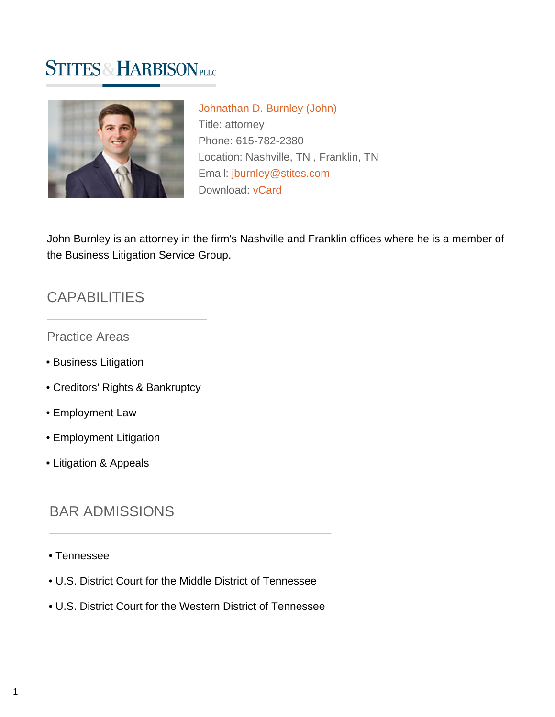# **STITES & HARBISON PLLC**



[Johnathan D. Burnley \(John\)](https://www.stites.com/attorneys/johnathan-burnley) Title: attorney Phone: 615-782-2380 Location: Nashville, TN , Franklin, TN Email: [jburnley@stites.com](mailto:jburnley@stites.com) Download: [vCard](https://www.stites.com/vcard/johnathan-burnley)

John Burnley is an attorney in the firm's Nashville and Franklin offices where he is a member of the Business Litigation Service Group.

### **CAPABILITIES**

Practice Areas

- Business Litigation
- Creditors' Rights & Bankruptcy
- Employment Law
- Employment Litigation
- Litigation & Appeals

## BAR ADMISSIONS

- Tennessee
- U.S. District Court for the Middle District of Tennessee
- U.S. District Court for the Western District of Tennessee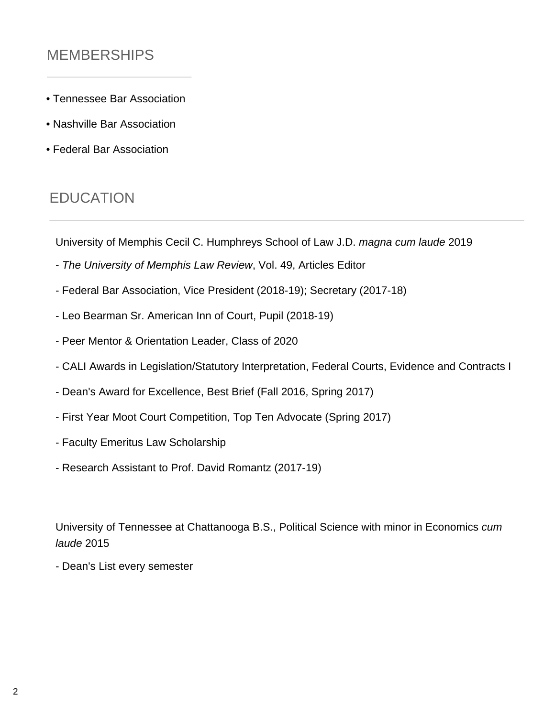# MEMBERSHIPS

- Tennessee Bar Association
- Nashville Bar Association
- Federal Bar Association

### **EDUCATION**

University of Memphis Cecil C. Humphreys School of Law J.D. magna cum laude 2019

- The University of Memphis Law Review, Vol. 49, Articles Editor
- Federal Bar Association, Vice President (2018-19); Secretary (2017-18)
- Leo Bearman Sr. American Inn of Court, Pupil (2018-19)
- Peer Mentor & Orientation Leader, Class of 2020
- CALI Awards in Legislation/Statutory Interpretation, Federal Courts, Evidence and Contracts I
- Dean's Award for Excellence, Best Brief (Fall 2016, Spring 2017)
- First Year Moot Court Competition, Top Ten Advocate (Spring 2017)
- Faculty Emeritus Law Scholarship
- Research Assistant to Prof. David Romantz (2017-19)

University of Tennessee at Chattanooga B.S., Political Science with minor in Economics cum laude 2015

- Dean's List every semester